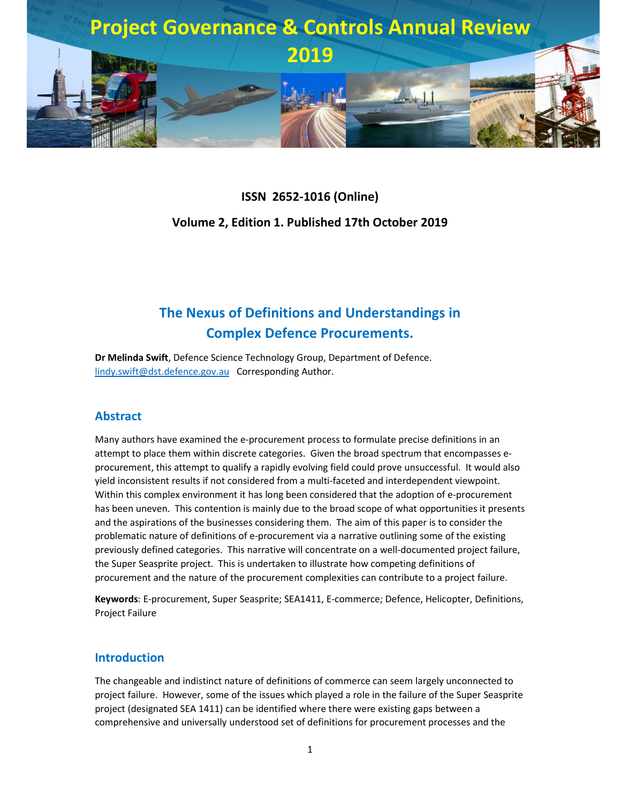

# **ISSN 2652-1016 (Online) Volume 2, Edition 1. Published 17th October 2019**

## **The Nexus of Definitions and Understandings in Complex Defence Procurements.**

**Dr Melinda Swift**, Defence Science Technology Group, Department of Defence. lindy.swift@dst.defence.gov.au Corresponding Author.

#### **Abstract**

Many authors have examined the e-procurement process to formulate precise definitions in an attempt to place them within discrete categories. Given the broad spectrum that encompasses eprocurement, this attempt to qualify a rapidly evolving field could prove unsuccessful. It would also yield inconsistent results if not considered from a multi-faceted and interdependent viewpoint. Within this complex environment it has long been considered that the adoption of e-procurement has been uneven. This contention is mainly due to the broad scope of what opportunities it presents and the aspirations of the businesses considering them. The aim of this paper is to consider the problematic nature of definitions of e-procurement via a narrative outlining some of the existing previously defined categories. This narrative will concentrate on a well-documented project failure, the Super Seasprite project. This is undertaken to illustrate how competing definitions of procurement and the nature of the procurement complexities can contribute to a project failure.

**Keywords**: E-procurement, Super Seasprite; SEA1411, E-commerce; Defence, Helicopter, Definitions, Project Failure

#### **Introduction**

The changeable and indistinct nature of definitions of commerce can seem largely unconnected to project failure. However, some of the issues which played a role in the failure of the Super Seasprite project (designated SEA 1411) can be identified where there were existing gaps between a comprehensive and universally understood set of definitions for procurement processes and the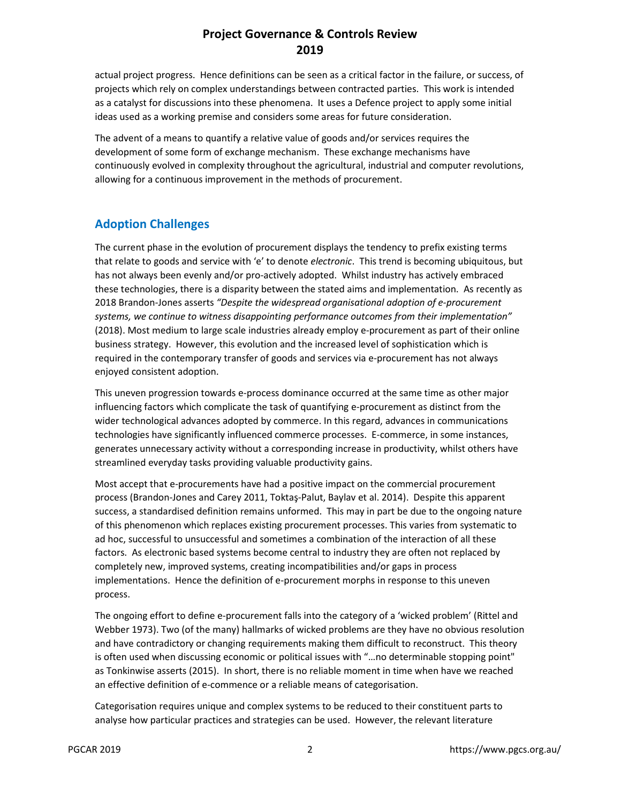actual project progress. Hence definitions can be seen as a critical factor in the failure, or success, of projects which rely on complex understandings between contracted parties. This work is intended as a catalyst for discussions into these phenomena. It uses a Defence project to apply some initial ideas used as a working premise and considers some areas for future consideration.

The advent of a means to quantify a relative value of goods and/or services requires the development of some form of exchange mechanism. These exchange mechanisms have continuously evolved in complexity throughout the agricultural, industrial and computer revolutions, allowing for a continuous improvement in the methods of procurement.

#### **Adoption Challenges**

The current phase in the evolution of procurement displays the tendency to prefix existing terms that relate to goods and service with 'e' to denote *electronic*. This trend is becoming ubiquitous, but has not always been evenly and/or pro-actively adopted. Whilst industry has actively embraced these technologies, there is a disparity between the stated aims and implementation. As recently as 2018 Brandon-Jones asserts *"Despite the widespread organisational adoption of e-procurement systems, we continue to witness disappointing performance outcomes from their implementation"* (2018). Most medium to large scale industries already employ e-procurement as part of their online business strategy. However, this evolution and the increased level of sophistication which is required in the contemporary transfer of goods and services via e-procurement has not always enjoyed consistent adoption.

This uneven progression towards e-process dominance occurred at the same time as other major influencing factors which complicate the task of quantifying e-procurement as distinct from the wider technological advances adopted by commerce. In this regard, advances in communications technologies have significantly influenced commerce processes. E-commerce, in some instances, generates unnecessary activity without a corresponding increase in productivity, whilst others have streamlined everyday tasks providing valuable productivity gains.

Most accept that e-procurements have had a positive impact on the commercial procurement process (Brandon-Jones and Carey 2011, Toktaş-Palut, Baylav et al. 2014). Despite this apparent success, a standardised definition remains unformed. This may in part be due to the ongoing nature of this phenomenon which replaces existing procurement processes. This varies from systematic to ad hoc, successful to unsuccessful and sometimes a combination of the interaction of all these factors. As electronic based systems become central to industry they are often not replaced by completely new, improved systems, creating incompatibilities and/or gaps in process implementations. Hence the definition of e-procurement morphs in response to this uneven process.

The ongoing effort to define e-procurement falls into the category of a 'wicked problem' (Rittel and Webber 1973). Two (of the many) hallmarks of wicked problems are they have no obvious resolution and have contradictory or changing requirements making them difficult to reconstruct. This theory is often used when discussing economic or political issues with "…no determinable stopping point" as Tonkinwise asserts (2015). In short, there is no reliable moment in time when have we reached an effective definition of e-commence or a reliable means of categorisation.

Categorisation requires unique and complex systems to be reduced to their constituent parts to analyse how particular practices and strategies can be used. However, the relevant literature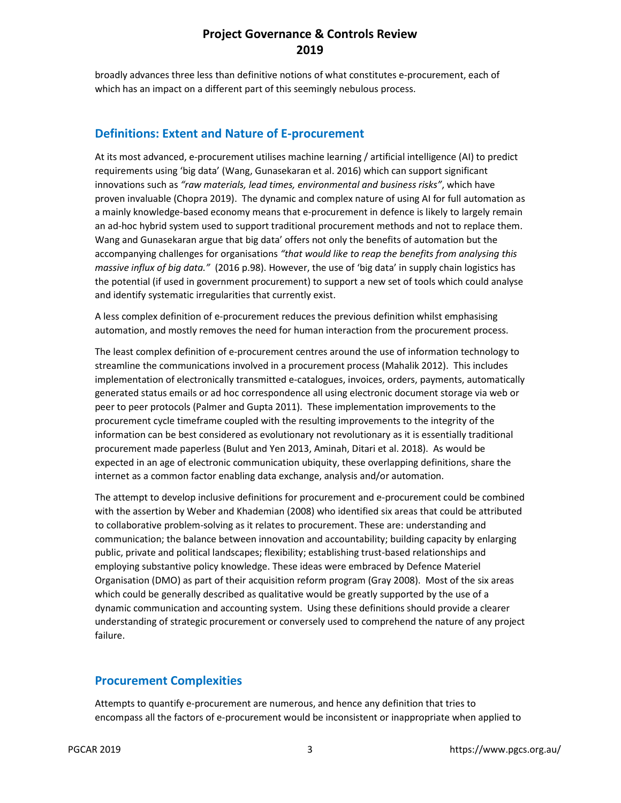broadly advances three less than definitive notions of what constitutes e-procurement, each of which has an impact on a different part of this seemingly nebulous process.

#### **Definitions: Extent and Nature of E-procurement**

At its most advanced, e-procurement utilises machine learning / artificial intelligence (AI) to predict requirements using 'big data' (Wang, Gunasekaran et al. 2016) which can support significant innovations such as *"raw materials, lead times, environmental and business risks"*, which have proven invaluable (Chopra 2019). The dynamic and complex nature of using AI for full automation as a mainly knowledge-based economy means that e-procurement in defence is likely to largely remain an ad-hoc hybrid system used to support traditional procurement methods and not to replace them. Wang and Gunasekaran argue that big data' offers not only the benefits of automation but the accompanying challenges for organisations *"that would like to reap the benefits from analysing this massive influx of big data."* (2016 p.98). However, the use of 'big data' in supply chain logistics has the potential (if used in government procurement) to support a new set of tools which could analyse and identify systematic irregularities that currently exist.

A less complex definition of e-procurement reduces the previous definition whilst emphasising automation, and mostly removes the need for human interaction from the procurement process.

The least complex definition of e-procurement centres around the use of information technology to streamline the communications involved in a procurement process (Mahalik 2012). This includes implementation of electronically transmitted e-catalogues, invoices, orders, payments, automatically generated status emails or ad hoc correspondence all using electronic document storage via web or peer to peer protocols (Palmer and Gupta 2011). These implementation improvements to the procurement cycle timeframe coupled with the resulting improvements to the integrity of the information can be best considered as evolutionary not revolutionary as it is essentially traditional procurement made paperless (Bulut and Yen 2013, Aminah, Ditari et al. 2018). As would be expected in an age of electronic communication ubiquity, these overlapping definitions, share the internet as a common factor enabling data exchange, analysis and/or automation.

The attempt to develop inclusive definitions for procurement and e-procurement could be combined with the assertion by Weber and Khademian (2008) who identified six areas that could be attributed to collaborative problem-solving as it relates to procurement. These are: understanding and communication; the balance between innovation and accountability; building capacity by enlarging public, private and political landscapes; flexibility; establishing trust-based relationships and employing substantive policy knowledge. These ideas were embraced by Defence Materiel Organisation (DMO) as part of their acquisition reform program (Gray 2008). Most of the six areas which could be generally described as qualitative would be greatly supported by the use of a dynamic communication and accounting system. Using these definitions should provide a clearer understanding of strategic procurement or conversely used to comprehend the nature of any project failure.

#### **Procurement Complexities**

Attempts to quantify e-procurement are numerous, and hence any definition that tries to encompass all the factors of e-procurement would be inconsistent or inappropriate when applied to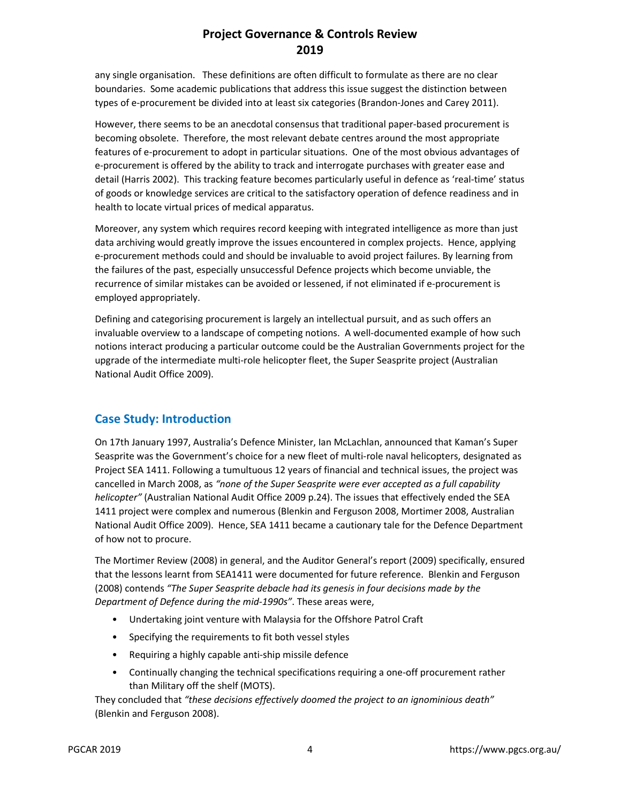any single organisation. These definitions are often difficult to formulate as there are no clear boundaries. Some academic publications that address this issue suggest the distinction between types of e-procurement be divided into at least six categories (Brandon-Jones and Carey 2011).

However, there seems to be an anecdotal consensus that traditional paper-based procurement is becoming obsolete. Therefore, the most relevant debate centres around the most appropriate features of e-procurement to adopt in particular situations. One of the most obvious advantages of e-procurement is offered by the ability to track and interrogate purchases with greater ease and detail (Harris 2002). This tracking feature becomes particularly useful in defence as 'real-time' status of goods or knowledge services are critical to the satisfactory operation of defence readiness and in health to locate virtual prices of medical apparatus.

Moreover, any system which requires record keeping with integrated intelligence as more than just data archiving would greatly improve the issues encountered in complex projects. Hence, applying e-procurement methods could and should be invaluable to avoid project failures. By learning from the failures of the past, especially unsuccessful Defence projects which become unviable, the recurrence of similar mistakes can be avoided or lessened, if not eliminated if e-procurement is employed appropriately.

Defining and categorising procurement is largely an intellectual pursuit, and as such offers an invaluable overview to a landscape of competing notions. A well-documented example of how such notions interact producing a particular outcome could be the Australian Governments project for the upgrade of the intermediate multi-role helicopter fleet, the Super Seasprite project (Australian National Audit Office 2009).

#### **Case Study: Introduction**

On 17th January 1997, Australia's Defence Minister, Ian McLachlan, announced that Kaman's Super Seasprite was the Government's choice for a new fleet of multi-role naval helicopters, designated as Project SEA 1411. Following a tumultuous 12 years of financial and technical issues, the project was cancelled in March 2008, as *"none of the Super Seasprite were ever accepted as a full capability helicopter"* (Australian National Audit Office 2009 p.24). The issues that effectively ended the SEA 1411 project were complex and numerous (Blenkin and Ferguson 2008, Mortimer 2008, Australian National Audit Office 2009). Hence, SEA 1411 became a cautionary tale for the Defence Department of how not to procure.

The Mortimer Review (2008) in general, and the Auditor General's report (2009) specifically, ensured that the lessons learnt from SEA1411 were documented for future reference. Blenkin and Ferguson (2008) contends *"The Super Seasprite debacle had its genesis in four decisions made by the Department of Defence during the mid-1990s"*. These areas were,

- Undertaking joint venture with Malaysia for the Offshore Patrol Craft
- Specifying the requirements to fit both vessel styles
- Requiring a highly capable anti-ship missile defence
- Continually changing the technical specifications requiring a one-off procurement rather than Military off the shelf (MOTS).

They concluded that *"these decisions effectively doomed the project to an ignominious death"* (Blenkin and Ferguson 2008).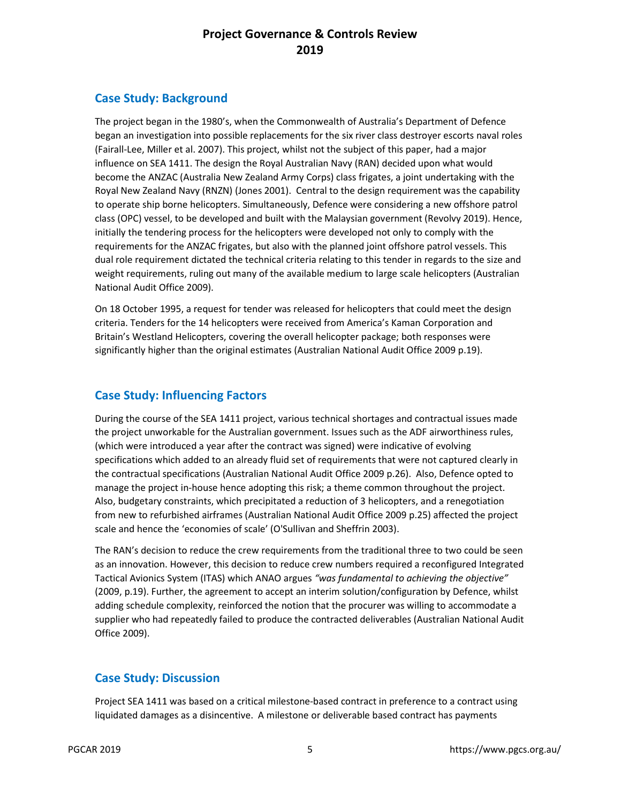#### **Case Study: Background**

The project began in the 1980's, when the Commonwealth of Australia's Department of Defence began an investigation into possible replacements for the six river class destroyer escorts naval roles (Fairall-Lee, Miller et al. 2007). This project, whilst not the subject of this paper, had a major influence on SEA 1411. The design the Royal Australian Navy (RAN) decided upon what would become the ANZAC (Australia New Zealand Army Corps) class frigates, a joint undertaking with the Royal New Zealand Navy (RNZN) (Jones 2001). Central to the design requirement was the capability to operate ship borne helicopters. Simultaneously, Defence were considering a new offshore patrol class (OPC) vessel, to be developed and built with the Malaysian government (Revolvy 2019). Hence, initially the tendering process for the helicopters were developed not only to comply with the requirements for the ANZAC frigates, but also with the planned joint offshore patrol vessels. This dual role requirement dictated the technical criteria relating to this tender in regards to the size and weight requirements, ruling out many of the available medium to large scale helicopters (Australian National Audit Office 2009).

On 18 October 1995, a request for tender was released for helicopters that could meet the design criteria. Tenders for the 14 helicopters were received from America's Kaman Corporation and Britain's Westland Helicopters, covering the overall helicopter package; both responses were significantly higher than the original estimates (Australian National Audit Office 2009 p.19).

#### **Case Study: Influencing Factors**

During the course of the SEA 1411 project, various technical shortages and contractual issues made the project unworkable for the Australian government. Issues such as the ADF airworthiness rules, (which were introduced a year after the contract was signed) were indicative of evolving specifications which added to an already fluid set of requirements that were not captured clearly in the contractual specifications (Australian National Audit Office 2009 p.26). Also, Defence opted to manage the project in-house hence adopting this risk; a theme common throughout the project. Also, budgetary constraints, which precipitated a reduction of 3 helicopters, and a renegotiation from new to refurbished airframes (Australian National Audit Office 2009 p.25) affected the project scale and hence the 'economies of scale' (O'Sullivan and Sheffrin 2003).

The RAN's decision to reduce the crew requirements from the traditional three to two could be seen as an innovation. However, this decision to reduce crew numbers required a reconfigured Integrated Tactical Avionics System (ITAS) which ANAO argues *"was fundamental to achieving the objective"* (2009, p.19). Further, the agreement to accept an interim solution/configuration by Defence, whilst adding schedule complexity, reinforced the notion that the procurer was willing to accommodate a supplier who had repeatedly failed to produce the contracted deliverables (Australian National Audit Office 2009).

#### **Case Study: Discussion**

Project SEA 1411 was based on a critical milestone-based contract in preference to a contract using liquidated damages as a disincentive. A milestone or deliverable based contract has payments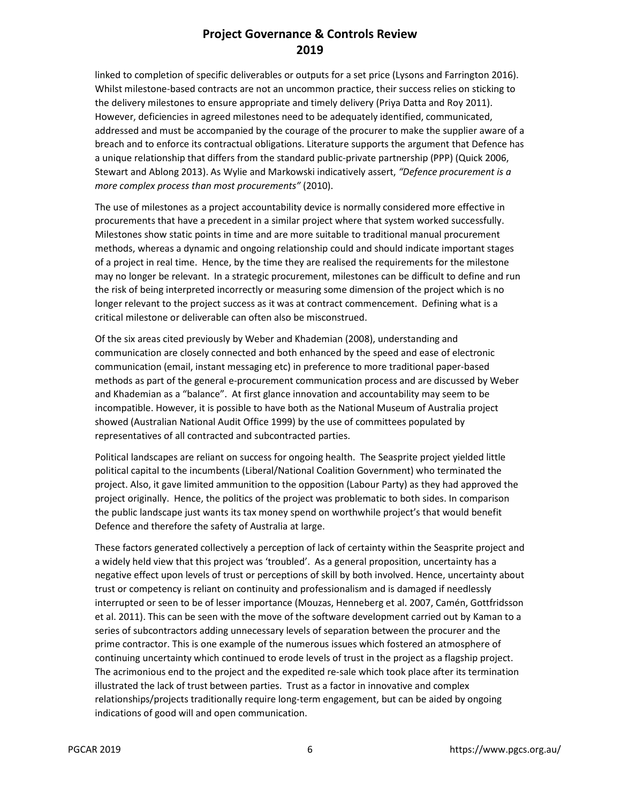linked to completion of specific deliverables or outputs for a set price (Lysons and Farrington 2016). Whilst milestone-based contracts are not an uncommon practice, their success relies on sticking to the delivery milestones to ensure appropriate and timely delivery (Priya Datta and Roy 2011). However, deficiencies in agreed milestones need to be adequately identified, communicated, addressed and must be accompanied by the courage of the procurer to make the supplier aware of a breach and to enforce its contractual obligations. Literature supports the argument that Defence has a unique relationship that differs from the standard public-private partnership (PPP) (Quick 2006, Stewart and Ablong 2013). As Wylie and Markowski indicatively assert, *"Defence procurement is a more complex process than most procurements"* (2010).

The use of milestones as a project accountability device is normally considered more effective in procurements that have a precedent in a similar project where that system worked successfully. Milestones show static points in time and are more suitable to traditional manual procurement methods, whereas a dynamic and ongoing relationship could and should indicate important stages of a project in real time. Hence, by the time they are realised the requirements for the milestone may no longer be relevant. In a strategic procurement, milestones can be difficult to define and run the risk of being interpreted incorrectly or measuring some dimension of the project which is no longer relevant to the project success as it was at contract commencement. Defining what is a critical milestone or deliverable can often also be misconstrued.

Of the six areas cited previously by Weber and Khademian (2008), understanding and communication are closely connected and both enhanced by the speed and ease of electronic communication (email, instant messaging etc) in preference to more traditional paper-based methods as part of the general e-procurement communication process and are discussed by Weber and Khademian as a "balance". At first glance innovation and accountability may seem to be incompatible. However, it is possible to have both as the National Museum of Australia project showed (Australian National Audit Office 1999) by the use of committees populated by representatives of all contracted and subcontracted parties.

Political landscapes are reliant on success for ongoing health. The Seasprite project yielded little political capital to the incumbents (Liberal/National Coalition Government) who terminated the project. Also, it gave limited ammunition to the opposition (Labour Party) as they had approved the project originally. Hence, the politics of the project was problematic to both sides. In comparison the public landscape just wants its tax money spend on worthwhile project's that would benefit Defence and therefore the safety of Australia at large.

These factors generated collectively a perception of lack of certainty within the Seasprite project and a widely held view that this project was 'troubled'. As a general proposition, uncertainty has a negative effect upon levels of trust or perceptions of skill by both involved. Hence, uncertainty about trust or competency is reliant on continuity and professionalism and is damaged if needlessly interrupted or seen to be of lesser importance (Mouzas, Henneberg et al. 2007, Camén, Gottfridsson et al. 2011). This can be seen with the move of the software development carried out by Kaman to a series of subcontractors adding unnecessary levels of separation between the procurer and the prime contractor. This is one example of the numerous issues which fostered an atmosphere of continuing uncertainty which continued to erode levels of trust in the project as a flagship project. The acrimonious end to the project and the expedited re-sale which took place after its termination illustrated the lack of trust between parties. Trust as a factor in innovative and complex relationships/projects traditionally require long-term engagement, but can be aided by ongoing indications of good will and open communication.

PGCAR 2019 **6** https://www.pgcs.org.au/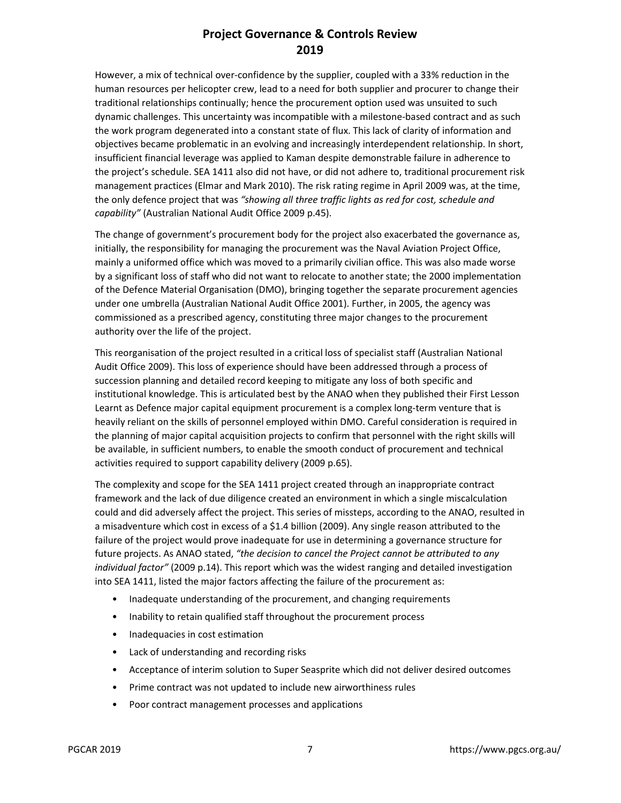However, a mix of technical over-confidence by the supplier, coupled with a 33% reduction in the human resources per helicopter crew, lead to a need for both supplier and procurer to change their traditional relationships continually; hence the procurement option used was unsuited to such dynamic challenges. This uncertainty was incompatible with a milestone-based contract and as such the work program degenerated into a constant state of flux. This lack of clarity of information and objectives became problematic in an evolving and increasingly interdependent relationship. In short, insufficient financial leverage was applied to Kaman despite demonstrable failure in adherence to the project's schedule. SEA 1411 also did not have, or did not adhere to, traditional procurement risk management practices (Elmar and Mark 2010). The risk rating regime in April 2009 was, at the time, the only defence project that was *"showing all three traffic lights as red for cost, schedule and capability"* (Australian National Audit Office 2009 p.45).

The change of government's procurement body for the project also exacerbated the governance as, initially, the responsibility for managing the procurement was the Naval Aviation Project Office, mainly a uniformed office which was moved to a primarily civilian office. This was also made worse by a significant loss of staff who did not want to relocate to another state; the 2000 implementation of the Defence Material Organisation (DMO), bringing together the separate procurement agencies under one umbrella (Australian National Audit Office 2001). Further, in 2005, the agency was commissioned as a prescribed agency, constituting three major changes to the procurement authority over the life of the project.

This reorganisation of the project resulted in a critical loss of specialist staff (Australian National Audit Office 2009). This loss of experience should have been addressed through a process of succession planning and detailed record keeping to mitigate any loss of both specific and institutional knowledge. This is articulated best by the ANAO when they published their First Lesson Learnt as Defence major capital equipment procurement is a complex long-term venture that is heavily reliant on the skills of personnel employed within DMO. Careful consideration is required in the planning of major capital acquisition projects to confirm that personnel with the right skills will be available, in sufficient numbers, to enable the smooth conduct of procurement and technical activities required to support capability delivery (2009 p.65).

The complexity and scope for the SEA 1411 project created through an inappropriate contract framework and the lack of due diligence created an environment in which a single miscalculation could and did adversely affect the project. This series of missteps, according to the ANAO, resulted in a misadventure which cost in excess of a \$1.4 billion (2009). Any single reason attributed to the failure of the project would prove inadequate for use in determining a governance structure for future projects. As ANAO stated, *"the decision to cancel the Project cannot be attributed to any individual factor"* (2009 p.14). This report which was the widest ranging and detailed investigation into SEA 1411, listed the major factors affecting the failure of the procurement as:

- Inadequate understanding of the procurement, and changing requirements
- Inability to retain qualified staff throughout the procurement process
- Inadequacies in cost estimation
- Lack of understanding and recording risks
- Acceptance of interim solution to Super Seasprite which did not deliver desired outcomes
- Prime contract was not updated to include new airworthiness rules
- Poor contract management processes and applications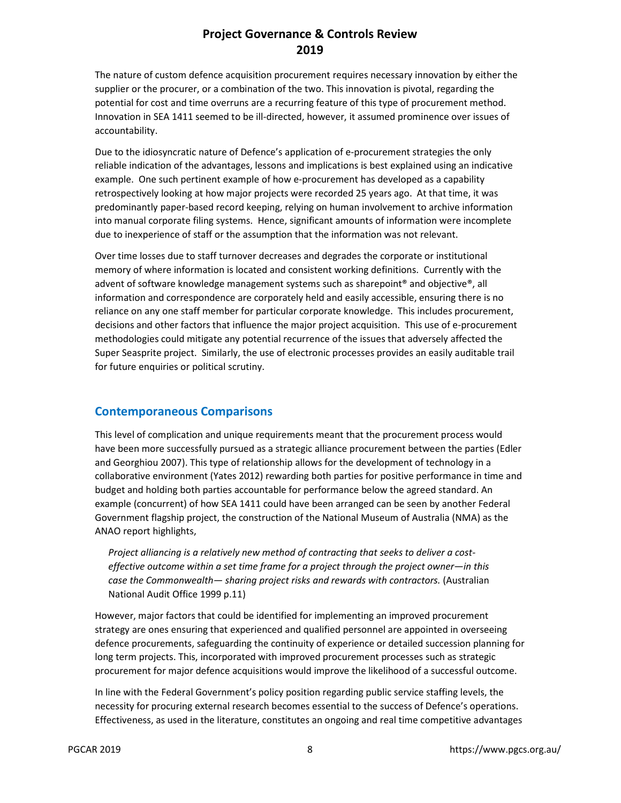The nature of custom defence acquisition procurement requires necessary innovation by either the supplier or the procurer, or a combination of the two. This innovation is pivotal, regarding the potential for cost and time overruns are a recurring feature of this type of procurement method. Innovation in SEA 1411 seemed to be ill-directed, however, it assumed prominence over issues of accountability.

Due to the idiosyncratic nature of Defence's application of e-procurement strategies the only reliable indication of the advantages, lessons and implications is best explained using an indicative example. One such pertinent example of how e-procurement has developed as a capability retrospectively looking at how major projects were recorded 25 years ago. At that time, it was predominantly paper-based record keeping, relying on human involvement to archive information into manual corporate filing systems. Hence, significant amounts of information were incomplete due to inexperience of staff or the assumption that the information was not relevant.

Over time losses due to staff turnover decreases and degrades the corporate or institutional memory of where information is located and consistent working definitions. Currently with the advent of software knowledge management systems such as sharepoint® and objective®, all information and correspondence are corporately held and easily accessible, ensuring there is no reliance on any one staff member for particular corporate knowledge. This includes procurement, decisions and other factors that influence the major project acquisition. This use of e-procurement methodologies could mitigate any potential recurrence of the issues that adversely affected the Super Seasprite project. Similarly, the use of electronic processes provides an easily auditable trail for future enquiries or political scrutiny.

#### **Contemporaneous Comparisons**

This level of complication and unique requirements meant that the procurement process would have been more successfully pursued as a strategic alliance procurement between the parties (Edler and Georghiou 2007). This type of relationship allows for the development of technology in a collaborative environment (Yates 2012) rewarding both parties for positive performance in time and budget and holding both parties accountable for performance below the agreed standard. An example (concurrent) of how SEA 1411 could have been arranged can be seen by another Federal Government flagship project, the construction of the National Museum of Australia (NMA) as the ANAO report highlights,

*Project alliancing is a relatively new method of contracting that seeks to deliver a costeffective outcome within a set time frame for a project through the project owner—in this case the Commonwealth— sharing project risks and rewards with contractors.* (Australian National Audit Office 1999 p.11)

However, major factors that could be identified for implementing an improved procurement strategy are ones ensuring that experienced and qualified personnel are appointed in overseeing defence procurements, safeguarding the continuity of experience or detailed succession planning for long term projects. This, incorporated with improved procurement processes such as strategic procurement for major defence acquisitions would improve the likelihood of a successful outcome.

In line with the Federal Government's policy position regarding public service staffing levels, the necessity for procuring external research becomes essential to the success of Defence's operations. Effectiveness, as used in the literature, constitutes an ongoing and real time competitive advantages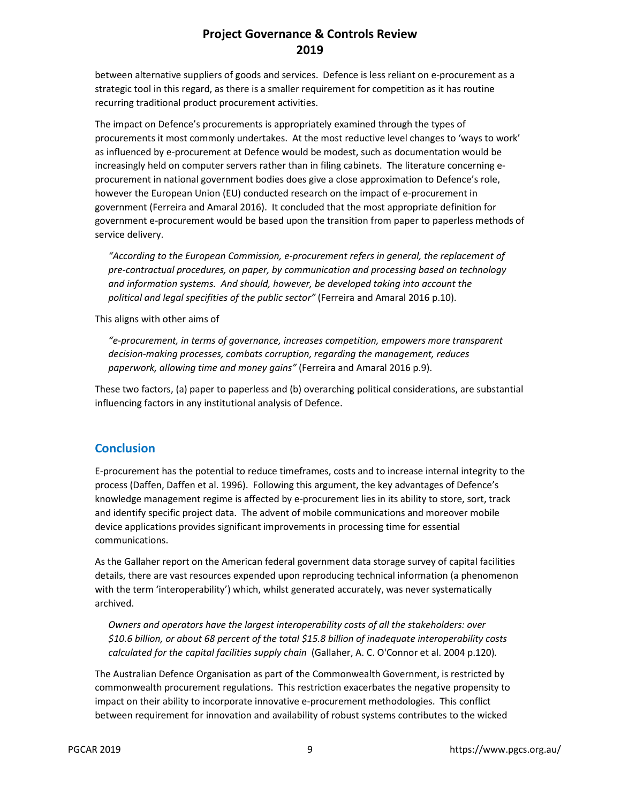between alternative suppliers of goods and services. Defence is less reliant on e-procurement as a strategic tool in this regard, as there is a smaller requirement for competition as it has routine recurring traditional product procurement activities.

The impact on Defence's procurements is appropriately examined through the types of procurements it most commonly undertakes. At the most reductive level changes to 'ways to work' as influenced by e-procurement at Defence would be modest, such as documentation would be increasingly held on computer servers rather than in filing cabinets. The literature concerning eprocurement in national government bodies does give a close approximation to Defence's role, however the European Union (EU) conducted research on the impact of e-procurement in government (Ferreira and Amaral 2016). It concluded that the most appropriate definition for government e-procurement would be based upon the transition from paper to paperless methods of service delivery.

*"According to the European Commission, e-procurement refers in general, the replacement of pre-contractual procedures, on paper, by communication and processing based on technology and information systems. And should, however, be developed taking into account the political and legal specifities of the public sector"* (Ferreira and Amaral 2016 p.10).

This aligns with other aims of

*"e-procurement, in terms of governance, increases competition, empowers more transparent decision-making processes, combats corruption, regarding the management, reduces paperwork, allowing time and money gains"* (Ferreira and Amaral 2016 p.9).

These two factors, (a) paper to paperless and (b) overarching political considerations, are substantial influencing factors in any institutional analysis of Defence.

#### **Conclusion**

E-procurement has the potential to reduce timeframes, costs and to increase internal integrity to the process (Daffen, Daffen et al. 1996). Following this argument, the key advantages of Defence's knowledge management regime is affected by e-procurement lies in its ability to store, sort, track and identify specific project data. The advent of mobile communications and moreover mobile device applications provides significant improvements in processing time for essential communications.

As the Gallaher report on the American federal government data storage survey of capital facilities details, there are vast resources expended upon reproducing technical information (a phenomenon with the term 'interoperability') which, whilst generated accurately, was never systematically archived.

*Owners and operators have the largest interoperability costs of all the stakeholders: over \$10.6 billion, or about 68 percent of the total \$15.8 billion of inadequate interoperability costs calculated for the capital facilities supply chain* (Gallaher, A. C. O'Connor et al. 2004 p.120)*.* 

The Australian Defence Organisation as part of the Commonwealth Government, is restricted by commonwealth procurement regulations. This restriction exacerbates the negative propensity to impact on their ability to incorporate innovative e-procurement methodologies. This conflict between requirement for innovation and availability of robust systems contributes to the wicked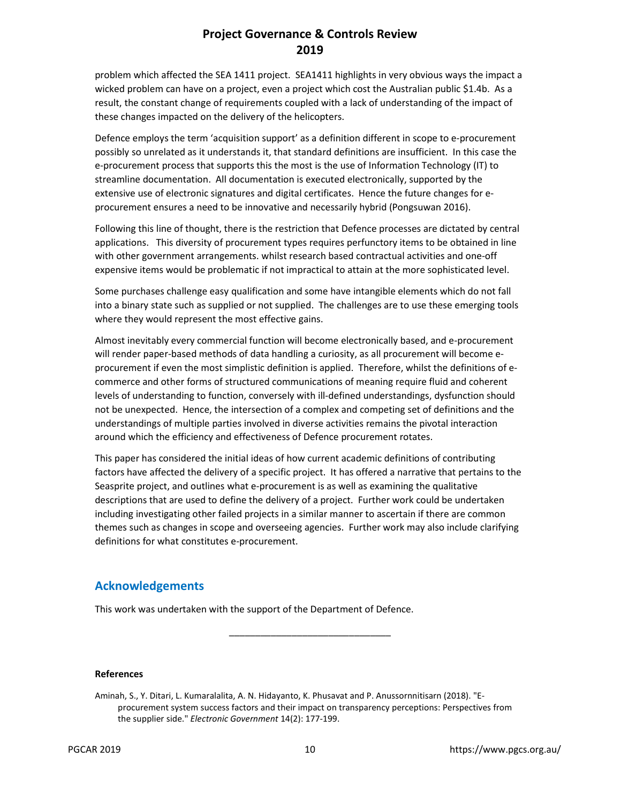problem which affected the SEA 1411 project. SEA1411 highlights in very obvious ways the impact a wicked problem can have on a project, even a project which cost the Australian public \$1.4b. As a result, the constant change of requirements coupled with a lack of understanding of the impact of these changes impacted on the delivery of the helicopters.

Defence employs the term 'acquisition support' as a definition different in scope to e-procurement possibly so unrelated as it understands it, that standard definitions are insufficient. In this case the e-procurement process that supports this the most is the use of Information Technology (IT) to streamline documentation. All documentation is executed electronically, supported by the extensive use of electronic signatures and digital certificates. Hence the future changes for eprocurement ensures a need to be innovative and necessarily hybrid (Pongsuwan 2016).

Following this line of thought, there is the restriction that Defence processes are dictated by central applications. This diversity of procurement types requires perfunctory items to be obtained in line with other government arrangements. whilst research based contractual activities and one-off expensive items would be problematic if not impractical to attain at the more sophisticated level.

Some purchases challenge easy qualification and some have intangible elements which do not fall into a binary state such as supplied or not supplied. The challenges are to use these emerging tools where they would represent the most effective gains.

Almost inevitably every commercial function will become electronically based, and e-procurement will render paper-based methods of data handling a curiosity, as all procurement will become eprocurement if even the most simplistic definition is applied. Therefore, whilst the definitions of ecommerce and other forms of structured communications of meaning require fluid and coherent levels of understanding to function, conversely with ill-defined understandings, dysfunction should not be unexpected. Hence, the intersection of a complex and competing set of definitions and the understandings of multiple parties involved in diverse activities remains the pivotal interaction around which the efficiency and effectiveness of Defence procurement rotates.

This paper has considered the initial ideas of how current academic definitions of contributing factors have affected the delivery of a specific project. It has offered a narrative that pertains to the Seasprite project, and outlines what e-procurement is as well as examining the qualitative descriptions that are used to define the delivery of a project. Further work could be undertaken including investigating other failed projects in a similar manner to ascertain if there are common themes such as changes in scope and overseeing agencies. Further work may also include clarifying definitions for what constitutes e-procurement.

#### **Acknowledgements**

This work was undertaken with the support of the Department of Defence.

#### **References**

\_\_\_\_\_\_\_\_\_\_\_\_\_\_\_\_\_\_\_\_\_\_\_\_\_\_\_\_\_\_\_

Aminah, S., Y. Ditari, L. Kumaralalita, A. N. Hidayanto, K. Phusavat and P. Anussornnitisarn (2018). "Eprocurement system success factors and their impact on transparency perceptions: Perspectives from the supplier side." *Electronic Government* 14(2): 177-199.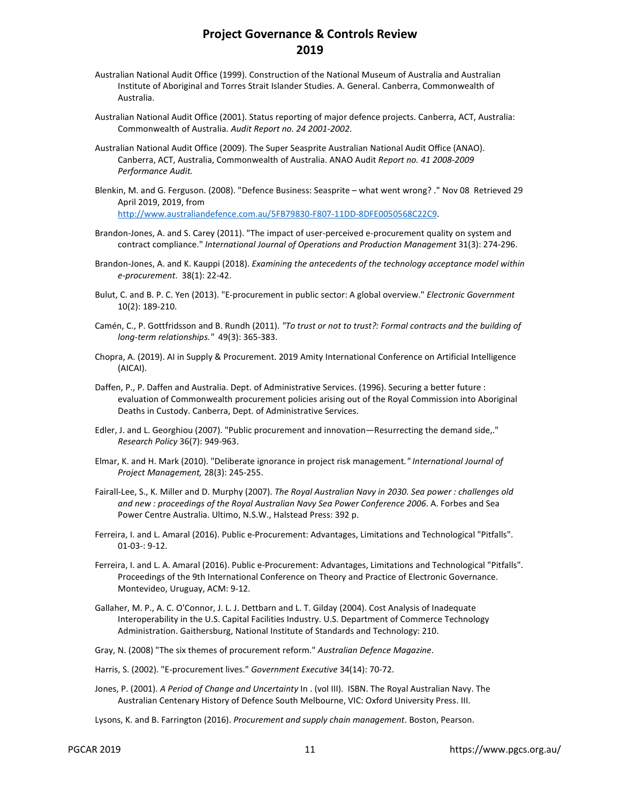- Australian National Audit Office (1999). Construction of the National Museum of Australia and Australian Institute of Aboriginal and Torres Strait Islander Studies. A. General. Canberra, Commonwealth of Australia.
- Australian National Audit Office (2001). Status reporting of major defence projects. Canberra, ACT, Australia: Commonwealth of Australia. *Audit Report no. 24 2001-2002*.
- Australian National Audit Office (2009). The Super Seasprite Australian National Audit Office (ANAO). Canberra, ACT, Australia, Commonwealth of Australia. ANAO Audit *Report no. 41 2008-2009 Performance Audit.*
- Blenkin, M. and G. Ferguson. (2008). "Defence Business: Seasprite what went wrong? ." Nov 08 Retrieved 29 April 2019, 2019, from http://www.australiandefence.com.au/5FB79830-F807-11DD-8DFE0050568C22C9.
- Brandon-Jones, A. and S. Carey (2011). "The impact of user-perceived e-procurement quality on system and contract compliance." *International Journal of Operations and Production Management* 31(3): 274-296.
- Brandon-Jones, A. and K. Kauppi (2018). *Examining the antecedents of the technology acceptance model within e-procurement*. 38(1): 22-42.
- Bulut, C. and B. P. C. Yen (2013). "E-procurement in public sector: A global overview." *Electronic Government*  10(2): 189-210.
- Camén, C., P. Gottfridsson and B. Rundh (2011). *"To trust or not to trust?: Formal contracts and the building of long-term relationships."* 49(3): 365-383.
- Chopra, A. (2019). AI in Supply & Procurement. 2019 Amity International Conference on Artificial Intelligence (AICAI).
- Daffen, P., P. Daffen and Australia. Dept. of Administrative Services. (1996). Securing a better future : evaluation of Commonwealth procurement policies arising out of the Royal Commission into Aboriginal Deaths in Custody. Canberra, Dept. of Administrative Services.
- Edler, J. and L. Georghiou (2007). "Public procurement and innovation—Resurrecting the demand side,." *Research Policy* 36(7): 949-963.
- Elmar, K. and H. Mark (2010). "Deliberate ignorance in project risk management*." International Journal of Project Management,* 28(3): 245-255.
- Fairall-Lee, S., K. Miller and D. Murphy (2007). *The Royal Australian Navy in 2030. Sea power : challenges old and new : proceedings of the Royal Australian Navy Sea Power Conference 2006*. A. Forbes and Sea Power Centre Australia. Ultimo, N.S.W., Halstead Press: 392 p.
- Ferreira, I. and L. Amaral (2016). Public e-Procurement: Advantages, Limitations and Technological "Pitfalls". 01-03-: 9-12.
- Ferreira, I. and L. A. Amaral (2016). Public e-Procurement: Advantages, Limitations and Technological "Pitfalls". Proceedings of the 9th International Conference on Theory and Practice of Electronic Governance. Montevideo, Uruguay, ACM: 9-12.
- Gallaher, M. P., A. C. O'Connor, J. L. J. Dettbarn and L. T. Gilday (2004). Cost Analysis of Inadequate Interoperability in the U.S. Capital Facilities Industry. U.S. Department of Commerce Technology Administration. Gaithersburg, National Institute of Standards and Technology: 210.
- Gray, N. (2008) "The six themes of procurement reform." *Australian Defence Magazine*.
- Harris, S. (2002). "E-procurement lives." *Government Executive* 34(14): 70-72.
- Jones, P. (2001). *A Period of Change and Uncertainty* In . (vol III). ISBN. The Royal Australian Navy. The Australian Centenary History of Defence South Melbourne, VIC: Oxford University Press. III.
- Lysons, K. and B. Farrington (2016). *Procurement and supply chain management*. Boston, Pearson.